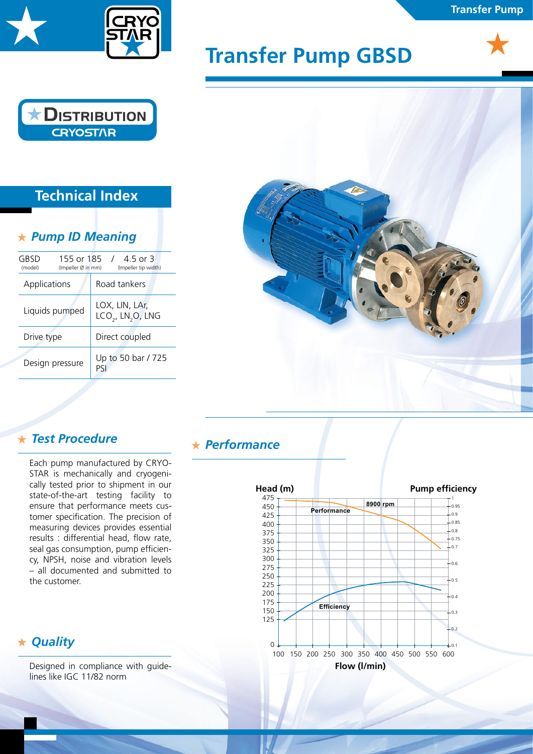

# **Transfer Pump GBSD**





# **Technical Index**

## *Pump ID Meaning*

| 155 or 185 /<br>GBSD<br>(Impeller Ø in mm)<br>(model) | 4.5 or 3<br>(Impeller tip width)                            |
|-------------------------------------------------------|-------------------------------------------------------------|
| Applications                                          | Road tankers                                                |
| Liquids pumped                                        | LOX, LIN, LAr,<br>LCO <sub>2</sub> , LN <sub>2</sub> O, LNG |
| Drive type                                            | Direct coupled                                              |
| Design pressure                                       | Up to 50 bar / 725<br>Pς                                    |



### *Test Procedure*

Each pump manufactured by CRYO-STAR is mechanically and cryogenically tested prior to shipment in our state-of-the-art testing facility to ensure that performance meets customer specification. The precision of measuring devices provides essential results : differential head, flow rate, seal gas consumption, pump efficiency, NPSH, noise and vibration levels – all documented and submitted to the customer.

### *Quality*

Designed in compliance with guidelines like IGC 11/82 norm

#### *Performance*